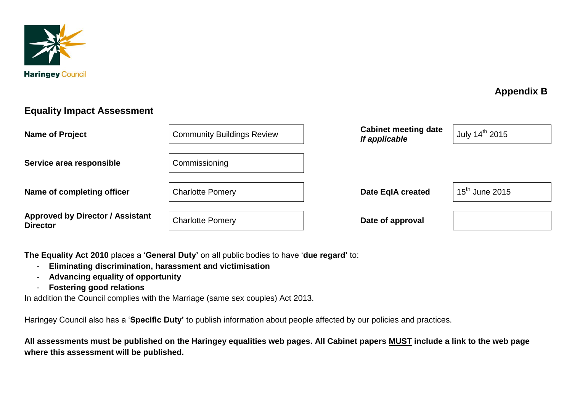

## **Appendix B**

## **Equality Impact Assessment**

| <b>Name of Project</b>                                     | <b>Community Buildings Review</b> | <b>Cabinet meeting date</b><br>If applicable | July 14 <sup>th</sup> 2015 |
|------------------------------------------------------------|-----------------------------------|----------------------------------------------|----------------------------|
| Service area responsible                                   | Commissioning                     |                                              |                            |
| Name of completing officer                                 | <b>Charlotte Pomery</b>           | <b>Date EqIA created</b>                     | $15^{\text{th}}$ June 2015 |
| <b>Approved by Director / Assistant</b><br><b>Director</b> | <b>Charlotte Pomery</b>           | Date of approval                             |                            |

**The Equality Act 2010** places a '**General Duty'** on all public bodies to have '**due regard'** to:

- **Eliminating discrimination, harassment and victimisation**
- **Advancing equality of opportunity**
- **Fostering good relations**

In addition the Council complies with the Marriage (same sex couples) Act 2013.

Haringey Council also has a '**Specific Duty'** to publish information about people affected by our policies and practices.

**All assessments must be published on the Haringey equalities web pages. All Cabinet papers MUST include a link to the web page where this assessment will be published.**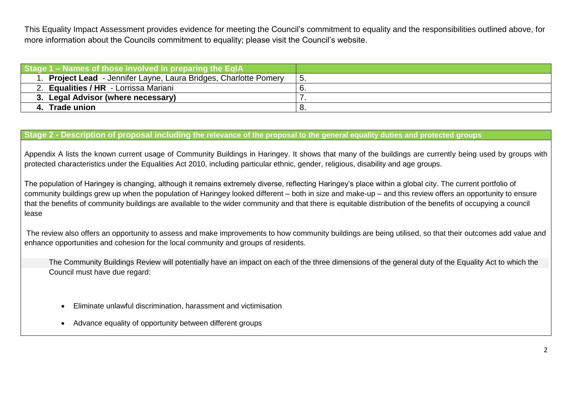This Equality Impact Assessment provides evidence for meeting the Council's commitment to equality and the responsibilities outlined above, for more information about the Councils commitment to equality; please visit the Council's website.

| Stage 1 – Names of those involved in preparing the EqIA           |      |
|-------------------------------------------------------------------|------|
| 1. Project Lead - Jennifer Layne, Laura Bridges, Charlotte Pomery | " 5. |
| . Equalities / HR - Lorrissa Mariani                              |      |
| 3. Legal Advisor (where necessary)                                |      |
| <b>Trade union</b>                                                |      |

## **Stage 2 - Description of proposal including the relevance of the proposal to the general equality duties and protected groups**

Appendix A lists the known current usage of Community Buildings in Haringey. It shows that many of the buildings are currently being used by groups with protected characteristics under the Equalities Act 2010, including particular ethnic, gender, religious, disability and age groups.

The population of Haringey is changing, although it remains extremely diverse, reflecting Haringey's place within a global city. The current portfolio of community buildings grew up when the population of Haringey looked different – both in size and make-up – and this review offers an opportunity to ensure that the benefits of community buildings are available to the wider community and that there is equitable distribution of the benefits of occupying a council lease

The review also offers an opportunity to assess and make improvements to how community buildings are being utilised, so that their outcomes add value and enhance opportunities and cohesion for the local community and groups of residents.

 The Community Buildings Review will potentially have an impact on each of the three dimensions of the general duty of the Equality Act to which the Council must have due regard:

- Eliminate unlawful discrimination, harassment and victimisation
- Advance equality of opportunity between different groups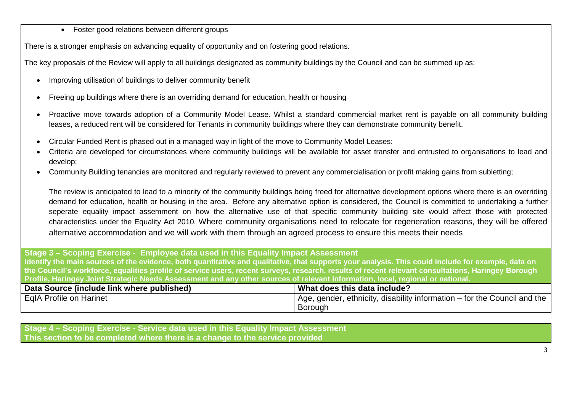• Foster good relations between different groups

There is a stronger emphasis on advancing equality of opportunity and on fostering good relations.

The key proposals of the Review will apply to all buildings designated as community buildings by the Council and can be summed up as:

- Improving utilisation of buildings to deliver community benefit
- Freeing up buildings where there is an overriding demand for education, health or housing
- Proactive move towards adoption of a Community Model Lease. Whilst a standard commercial market rent is payable on all community building leases, a reduced rent will be considered for Tenants in community buildings where they can demonstrate community benefit.
- Circular Funded Rent is phased out in a managed way in light of the move to Community Model Leases:
- Criteria are developed for circumstances where community buildings will be available for asset transfer and entrusted to organisations to lead and develop;
- Community Building tenancies are monitored and regularly reviewed to prevent any commercialisation or profit making gains from subletting;

The review is anticipated to lead to a minority of the community buildings being freed for alternative development options where there is an overriding demand for education, health or housing in the area. Before any alternative option is considered, the Council is committed to undertaking a further seperate equality impact assemment on how the alternative use of that specific community building site would affect those with protected characteristics under the Equality Act 2010. Where community organisations need to relocate for regeneration reasons, they will be offered alternative accommodation and we will work with them through an agreed process to ensure this meets their needs

**Stage 3 – Scoping Exercise - Employee data used in this Equality Impact Assessment Identify the main sources of the evidence, both quantitative and qualitative, that supports your analysis. This could include for example, data on the Council's workforce, equalities profile of service users, recent surveys, research, results of recent relevant consultations, Haringey Borough Profile, Haringey Joint Strategic Needs Assessment and any other sources of relevant information, local, regional or national.**

| Data Source (include link where published) | What does this data include?                                                           |
|--------------------------------------------|----------------------------------------------------------------------------------------|
| EqIA Profile on Harinet                    | $\frac{1}{2}$ Age, gender, ethnicity, disability information – for the Council and the |
|                                            | <b>Borough</b>                                                                         |

**Stage 4 – Scoping Exercise - Service data used in this Equality Impact Assessment This section to be completed where there is a change to the service provided**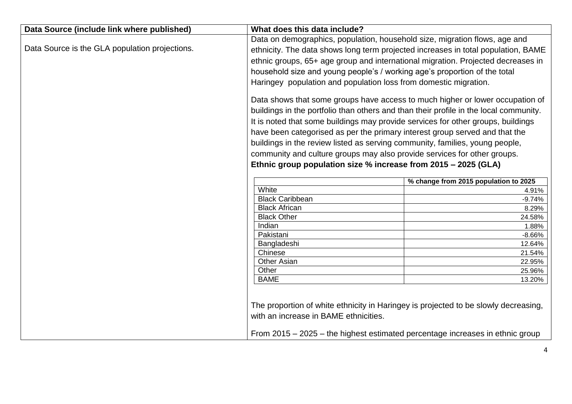| Data Source (include link where published)     | What does this data include?                                                          |                                       |
|------------------------------------------------|---------------------------------------------------------------------------------------|---------------------------------------|
|                                                | Data on demographics, population, household size, migration flows, age and            |                                       |
| Data Source is the GLA population projections. | ethnicity. The data shows long term projected increases in total population, BAME     |                                       |
|                                                | ethnic groups, 65+ age group and international migration. Projected decreases in      |                                       |
|                                                | household size and young people's / working age's proportion of the total             |                                       |
|                                                | Haringey population and population loss from domestic migration.                      |                                       |
|                                                |                                                                                       |                                       |
|                                                | Data shows that some groups have access to much higher or lower occupation of         |                                       |
|                                                | buildings in the portfolio than others and than their profile in the local community. |                                       |
|                                                | It is noted that some buildings may provide services for other groups, buildings      |                                       |
|                                                | have been categorised as per the primary interest group served and that the           |                                       |
|                                                | buildings in the review listed as serving community, families, young people,          |                                       |
|                                                |                                                                                       |                                       |
|                                                | community and culture groups may also provide services for other groups.              |                                       |
|                                                | Ethnic group population size % increase from 2015 - 2025 (GLA)                        |                                       |
|                                                |                                                                                       | % change from 2015 population to 2025 |
|                                                | White                                                                                 | 4.91%                                 |
|                                                | <b>Black Caribbean</b>                                                                | $-9.74%$                              |
|                                                | <b>Black African</b>                                                                  | 8.29%                                 |
|                                                | <b>Black Other</b>                                                                    | 24.58%                                |
|                                                | Indian                                                                                | 1.88%                                 |
|                                                | Pakistani                                                                             | $-8.66%$                              |
|                                                | Bangladeshi                                                                           | 12.64%                                |
|                                                | Chinese<br><b>Other Asian</b>                                                         | 21.54%                                |
|                                                | Other                                                                                 | 22.95%<br>25.96%                      |
|                                                | <b>BAME</b>                                                                           | 13.20%                                |
|                                                |                                                                                       |                                       |
|                                                |                                                                                       |                                       |
|                                                | The proportion of white ethnicity in Haringey is projected to be slowly decreasing,   |                                       |
|                                                | with an increase in BAME ethnicities.                                                 |                                       |
|                                                |                                                                                       |                                       |
|                                                | From 2015 – 2025 – the highest estimated percentage increases in ethnic group         |                                       |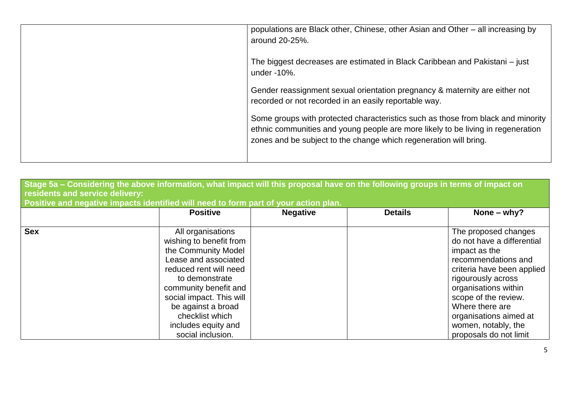| populations are Black other, Chinese, other Asian and Other – all increasing by<br>around 20-25%.                                                                                                                                         |
|-------------------------------------------------------------------------------------------------------------------------------------------------------------------------------------------------------------------------------------------|
| The biggest decreases are estimated in Black Caribbean and Pakistani – just<br>under -10%.                                                                                                                                                |
| Gender reassignment sexual orientation pregnancy & maternity are either not<br>recorded or not recorded in an easily reportable way.                                                                                                      |
| Some groups with protected characteristics such as those from black and minority<br>ethnic communities and young people are more likely to be living in regeneration<br>zones and be subject to the change which regeneration will bring. |

| residents and service delivery: | Stage 5a – Considering the above information, what impact will this proposal have on the following groups in terms of impact on<br>Positive and negative impacts identified will need to form part of your action plan.                                                           |                 |                |                                                                                                                                                                                                                                                                                              |
|---------------------------------|-----------------------------------------------------------------------------------------------------------------------------------------------------------------------------------------------------------------------------------------------------------------------------------|-----------------|----------------|----------------------------------------------------------------------------------------------------------------------------------------------------------------------------------------------------------------------------------------------------------------------------------------------|
|                                 | <b>Positive</b>                                                                                                                                                                                                                                                                   | <b>Negative</b> | <b>Details</b> | None $-$ why?                                                                                                                                                                                                                                                                                |
| <b>Sex</b>                      | All organisations<br>wishing to benefit from<br>the Community Model<br>Lease and associated<br>reduced rent will need<br>to demonstrate<br>community benefit and<br>social impact. This will<br>be against a broad<br>checklist which<br>includes equity and<br>social inclusion. |                 |                | The proposed changes<br>do not have a differential<br>impact as the<br>recommendations and<br>criteria have been applied<br>rigourously across<br>organisations within<br>scope of the review.<br>Where there are<br>organisations aimed at<br>women, notably, the<br>proposals do not limit |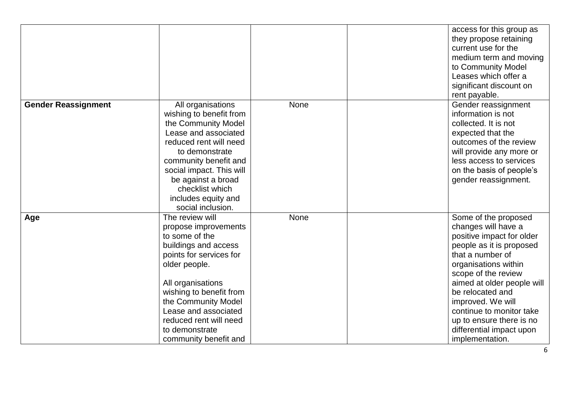|                            |                                                                                                                                                                                                                                                                                                   |      | access for this group as<br>they propose retaining<br>current use for the<br>medium term and moving<br>to Community Model<br>Leases which offer a<br>significant discount on<br>rent payable.                                                                                                                                                         |
|----------------------------|---------------------------------------------------------------------------------------------------------------------------------------------------------------------------------------------------------------------------------------------------------------------------------------------------|------|-------------------------------------------------------------------------------------------------------------------------------------------------------------------------------------------------------------------------------------------------------------------------------------------------------------------------------------------------------|
| <b>Gender Reassignment</b> | All organisations<br>wishing to benefit from<br>the Community Model<br>Lease and associated<br>reduced rent will need<br>to demonstrate<br>community benefit and<br>social impact. This will<br>be against a broad<br>checklist which<br>includes equity and<br>social inclusion.                 | None | Gender reassignment<br>information is not<br>collected. It is not<br>expected that the<br>outcomes of the review<br>will provide any more or<br>less access to services<br>on the basis of people's<br>gender reassignment.                                                                                                                           |
| Age                        | The review will<br>propose improvements<br>to some of the<br>buildings and access<br>points for services for<br>older people.<br>All organisations<br>wishing to benefit from<br>the Community Model<br>Lease and associated<br>reduced rent will need<br>to demonstrate<br>community benefit and | None | Some of the proposed<br>changes will have a<br>positive impact for older<br>people as it is proposed<br>that a number of<br>organisations within<br>scope of the review<br>aimed at older people will<br>be relocated and<br>improved. We will<br>continue to monitor take<br>up to ensure there is no<br>differential impact upon<br>implementation. |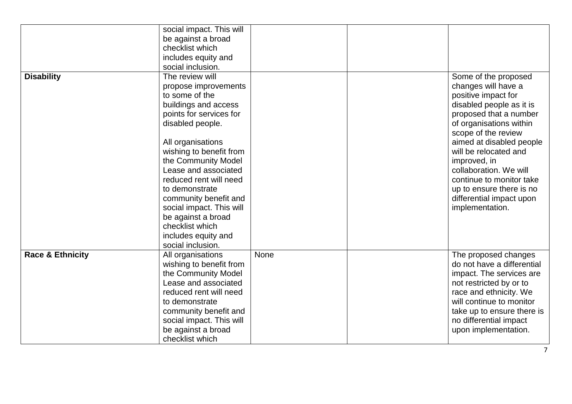| <b>Disability</b>           | social impact. This will<br>be against a broad<br>checklist which<br>includes equity and<br>social inclusion.<br>The review will<br>propose improvements<br>to some of the<br>buildings and access<br>points for services for<br>disabled people.<br>All organisations<br>wishing to benefit from<br>the Community Model<br>Lease and associated<br>reduced rent will need<br>to demonstrate<br>community benefit and<br>social impact. This will<br>be against a broad<br>checklist which<br>includes equity and<br>social inclusion. |      | Some of the proposed<br>changes will have a<br>positive impact for<br>disabled people as it is<br>proposed that a number<br>of organisations within<br>scope of the review<br>aimed at disabled people<br>will be relocated and<br>improved, in<br>collaboration. We will<br>continue to monitor take<br>up to ensure there is no<br>differential impact upon<br>implementation. |
|-----------------------------|----------------------------------------------------------------------------------------------------------------------------------------------------------------------------------------------------------------------------------------------------------------------------------------------------------------------------------------------------------------------------------------------------------------------------------------------------------------------------------------------------------------------------------------|------|----------------------------------------------------------------------------------------------------------------------------------------------------------------------------------------------------------------------------------------------------------------------------------------------------------------------------------------------------------------------------------|
| <b>Race &amp; Ethnicity</b> | All organisations<br>wishing to benefit from<br>the Community Model<br>Lease and associated<br>reduced rent will need<br>to demonstrate<br>community benefit and<br>social impact. This will<br>be against a broad<br>checklist which                                                                                                                                                                                                                                                                                                  | None | The proposed changes<br>do not have a differential<br>impact. The services are<br>not restricted by or to<br>race and ethnicity. We<br>will continue to monitor<br>take up to ensure there is<br>no differential impact<br>upon implementation.                                                                                                                                  |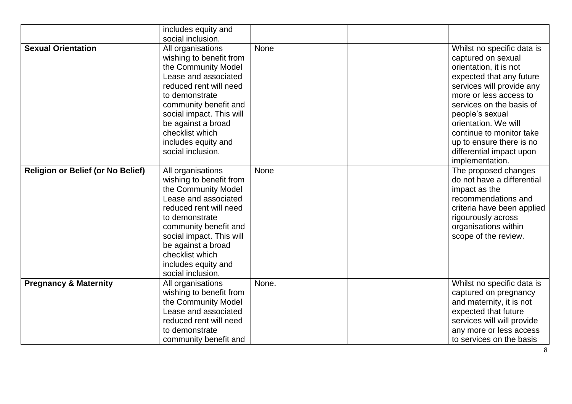|                                          | includes equity and<br>social inclusion.                                                                                                                                                                                                                                          |       |                                                                                                                                                                                                                                                                                                                                             |
|------------------------------------------|-----------------------------------------------------------------------------------------------------------------------------------------------------------------------------------------------------------------------------------------------------------------------------------|-------|---------------------------------------------------------------------------------------------------------------------------------------------------------------------------------------------------------------------------------------------------------------------------------------------------------------------------------------------|
| <b>Sexual Orientation</b>                | All organisations<br>wishing to benefit from<br>the Community Model<br>Lease and associated<br>reduced rent will need<br>to demonstrate<br>community benefit and<br>social impact. This will<br>be against a broad<br>checklist which<br>includes equity and<br>social inclusion. | None  | Whilst no specific data is<br>captured on sexual<br>orientation, it is not<br>expected that any future<br>services will provide any<br>more or less access to<br>services on the basis of<br>people's sexual<br>orientation. We will<br>continue to monitor take<br>up to ensure there is no<br>differential impact upon<br>implementation. |
| <b>Religion or Belief (or No Belief)</b> | All organisations<br>wishing to benefit from<br>the Community Model<br>Lease and associated<br>reduced rent will need<br>to demonstrate<br>community benefit and<br>social impact. This will<br>be against a broad<br>checklist which<br>includes equity and<br>social inclusion. | None  | The proposed changes<br>do not have a differential<br>impact as the<br>recommendations and<br>criteria have been applied<br>rigourously across<br>organisations within<br>scope of the review.                                                                                                                                              |
| <b>Pregnancy &amp; Maternity</b>         | All organisations<br>wishing to benefit from<br>the Community Model<br>Lease and associated<br>reduced rent will need<br>to demonstrate<br>community benefit and                                                                                                                  | None. | Whilst no specific data is<br>captured on pregnancy<br>and maternity, it is not<br>expected that future<br>services will will provide<br>any more or less access<br>to services on the basis                                                                                                                                                |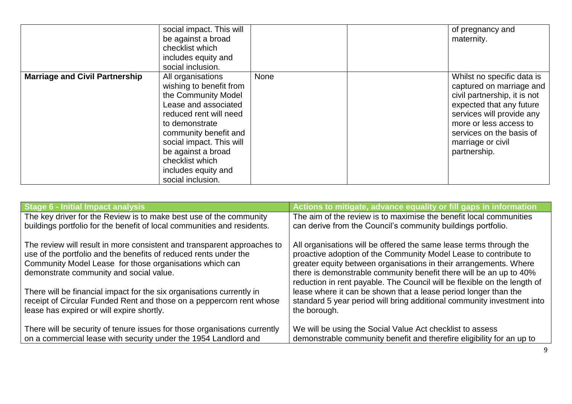|                                       | social impact. This will<br>be against a broad<br>checklist which<br>includes equity and<br>social inclusion.                                                                                                                                                                     |      | of pregnancy and<br>maternity.                                                                                                                                                                                                             |
|---------------------------------------|-----------------------------------------------------------------------------------------------------------------------------------------------------------------------------------------------------------------------------------------------------------------------------------|------|--------------------------------------------------------------------------------------------------------------------------------------------------------------------------------------------------------------------------------------------|
| <b>Marriage and Civil Partnership</b> | All organisations<br>wishing to benefit from<br>the Community Model<br>Lease and associated<br>reduced rent will need<br>to demonstrate<br>community benefit and<br>social impact. This will<br>be against a broad<br>checklist which<br>includes equity and<br>social inclusion. | None | Whilst no specific data is<br>captured on marriage and<br>civil partnership, it is not<br>expected that any future<br>services will provide any<br>more or less access to<br>services on the basis of<br>marriage or civil<br>partnership. |

| <b>Stage 6 - Initial Impact analysis</b>                                                                                                                                                                                                          | Actions to mitigate, advance equality or fill gaps in information                                                                                                                                                                                                                                                                                             |
|---------------------------------------------------------------------------------------------------------------------------------------------------------------------------------------------------------------------------------------------------|---------------------------------------------------------------------------------------------------------------------------------------------------------------------------------------------------------------------------------------------------------------------------------------------------------------------------------------------------------------|
| The key driver for the Review is to make best use of the community                                                                                                                                                                                | The aim of the review is to maximise the benefit local communities                                                                                                                                                                                                                                                                                            |
| buildings portfolio for the benefit of local communities and residents.                                                                                                                                                                           | can derive from the Council's community buildings portfolio.                                                                                                                                                                                                                                                                                                  |
| The review will result in more consistent and transparent approaches to<br>use of the portfolio and the benefits of reduced rents under the<br>Community Model Lease for those organisations which can<br>demonstrate community and social value. | All organisations will be offered the same lease terms through the<br>proactive adoption of the Community Model Lease to contribute to<br>greater equity between organisations in their arrangements. Where<br>there is demonstrable community benefit there will be an up to 40%<br>reduction in rent payable. The Council will be flexible on the length of |
| There will be financial impact for the six organisations currently in<br>receipt of Circular Funded Rent and those on a peppercorn rent whose<br>lease has expired or will expire shortly.                                                        | lease where it can be shown that a lease period longer than the<br>standard 5 year period will bring additional community investment into<br>the borough.                                                                                                                                                                                                     |
| There will be security of tenure issues for those organisations currently<br>on a commercial lease with security under the 1954 Landlord and                                                                                                      | We will be using the Social Value Act checklist to assess<br>demonstrable community benefit and therefire eligibility for an up to                                                                                                                                                                                                                            |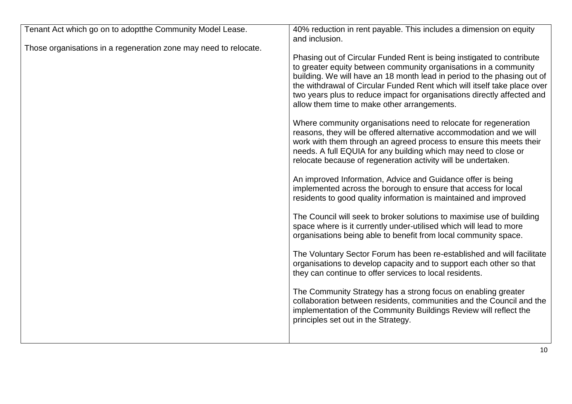| Tenant Act which go on to adoptthe Community Model Lease.        | 40% reduction in rent payable. This includes a dimension on equity<br>and inclusion.                                                                                                                                                                                                                                                                                                                                       |
|------------------------------------------------------------------|----------------------------------------------------------------------------------------------------------------------------------------------------------------------------------------------------------------------------------------------------------------------------------------------------------------------------------------------------------------------------------------------------------------------------|
| Those organisations in a regeneration zone may need to relocate. |                                                                                                                                                                                                                                                                                                                                                                                                                            |
|                                                                  | Phasing out of Circular Funded Rent is being instigated to contribute<br>to greater equity between community organisations in a community<br>building. We will have an 18 month lead in period to the phasing out of<br>the withdrawal of Circular Funded Rent which will itself take place over<br>two years plus to reduce impact for organisations directly affected and<br>allow them time to make other arrangements. |
|                                                                  | Where community organisations need to relocate for regeneration<br>reasons, they will be offered alternative accommodation and we will<br>work with them through an agreed process to ensure this meets their<br>needs. A full EQUIA for any building which may need to close or<br>relocate because of regeneration activity will be undertaken.                                                                          |
|                                                                  | An improved Information, Advice and Guidance offer is being<br>implemented across the borough to ensure that access for local<br>residents to good quality information is maintained and improved                                                                                                                                                                                                                          |
|                                                                  | The Council will seek to broker solutions to maximise use of building<br>space where is it currently under-utilised which will lead to more<br>organisations being able to benefit from local community space.                                                                                                                                                                                                             |
|                                                                  | The Voluntary Sector Forum has been re-established and will facilitate<br>organisations to develop capacity and to support each other so that<br>they can continue to offer services to local residents.                                                                                                                                                                                                                   |
|                                                                  | The Community Strategy has a strong focus on enabling greater<br>collaboration between residents, communities and the Council and the<br>implementation of the Community Buildings Review will reflect the<br>principles set out in the Strategy.                                                                                                                                                                          |
|                                                                  |                                                                                                                                                                                                                                                                                                                                                                                                                            |